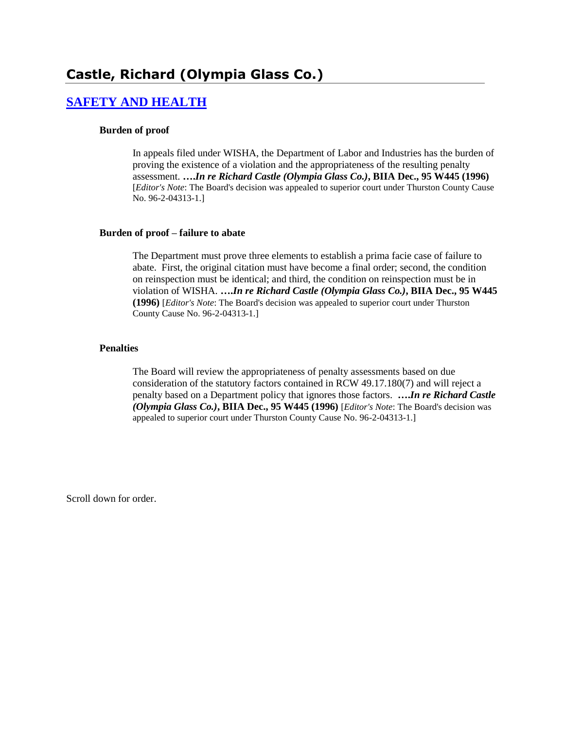### **[SAFETY AND HEALTH](http://www.biia.wa.gov/SDSubjectIndex.html#SAFETY_AND_HEALTH)**

#### **Burden of proof**

In appeals filed under WISHA, the Department of Labor and Industries has the burden of proving the existence of a violation and the appropriateness of the resulting penalty assessment. **….***In re Richard Castle (Olympia Glass Co.)***, BIIA Dec., 95 W445 (1996)**  [*Editor's Note*: The Board's decision was appealed to superior court under Thurston County Cause No. 96-2-04313-1.]

#### **Burden of proof – failure to abate**

The Department must prove three elements to establish a prima facie case of failure to abate. First, the original citation must have become a final order; second, the condition on reinspection must be identical; and third, the condition on reinspection must be in violation of WISHA. **….***In re Richard Castle (Olympia Glass Co.)***, BIIA Dec., 95 W445 (1996)** [*Editor's Note*: The Board's decision was appealed to superior court under Thurston County Cause No. 96-2-04313-1.]

#### **Penalties**

The Board will review the appropriateness of penalty assessments based on due consideration of the statutory factors contained in RCW 49.17.180(7) and will reject a penalty based on a Department policy that ignores those factors. **….***In re Richard Castle (Olympia Glass Co.)***, BIIA Dec., 95 W445 (1996)** [*Editor's Note*: The Board's decision was appealed to superior court under Thurston County Cause No. 96-2-04313-1.]

Scroll down for order.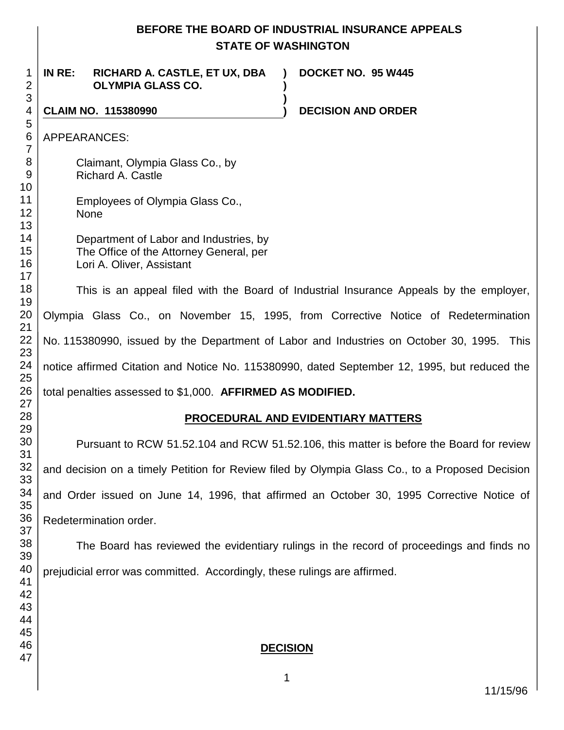|                                                      | BEFORE THE BOARD OF INDUSTRIAL INSURANCE APPEALS<br><b>STATE OF WASHINGTON</b>                                                                                                |  |  |
|------------------------------------------------------|-------------------------------------------------------------------------------------------------------------------------------------------------------------------------------|--|--|
| 1<br>$\overline{2}$                                  | IN RE:<br>DOCKET NO. 95 W445<br>RICHARD A. CASTLE, ET UX, DBA<br><b>OLYMPIA GLASS CO.</b>                                                                                     |  |  |
| $\ensuremath{\mathsf{3}}$<br>$\overline{\mathbf{4}}$ | <b>CLAIM NO. 115380990</b><br><b>DECISION AND ORDER</b>                                                                                                                       |  |  |
| 5<br>6<br>$\overline{7}$                             | APPEARANCES:                                                                                                                                                                  |  |  |
| $\,8\,$<br>$9\,$<br>10                               | Claimant, Olympia Glass Co., by<br><b>Richard A. Castle</b>                                                                                                                   |  |  |
| 11<br>12<br>13                                       | Employees of Olympia Glass Co.,<br><b>None</b>                                                                                                                                |  |  |
| 14<br>15<br>16<br>17                                 | Department of Labor and Industries, by<br>The Office of the Attorney General, per<br>Lori A. Oliver, Assistant                                                                |  |  |
| 18<br>19                                             | This is an appeal filed with the Board of Industrial Insurance Appeals by the employer,<br>Olympia Glass Co., on November 15, 1995, from Corrective Notice of Redetermination |  |  |
| 20                                                   |                                                                                                                                                                               |  |  |
| 21<br>22<br>23                                       | No. 115380990, issued by the Department of Labor and Industries on October 30, 1995. This                                                                                     |  |  |
| 24<br>25                                             | notice affirmed Citation and Notice No. 115380990, dated September 12, 1995, but reduced the                                                                                  |  |  |
| 26<br>27                                             | total penalties assessed to \$1,000. AFFIRMED AS MODIFIED.                                                                                                                    |  |  |
| 28<br>29                                             | PROCEDURAL AND EVIDENTIARY MATTERS                                                                                                                                            |  |  |
| 30<br>31                                             | Pursuant to RCW 51.52.104 and RCW 51.52.106, this matter is before the Board for review                                                                                       |  |  |
| 32<br>33                                             | and decision on a timely Petition for Review filed by Olympia Glass Co., to a Proposed Decision                                                                               |  |  |
| 34<br>35                                             | and Order issued on June 14, 1996, that affirmed an October 30, 1995 Corrective Notice of                                                                                     |  |  |
| 36<br>37                                             | Redetermination order.                                                                                                                                                        |  |  |
| 38<br>39                                             | The Board has reviewed the evidentiary rulings in the record of proceedings and finds no                                                                                      |  |  |
| 40<br>41                                             | prejudicial error was committed. Accordingly, these rulings are affirmed.                                                                                                     |  |  |
| 42<br>43                                             |                                                                                                                                                                               |  |  |
| 44<br>45                                             |                                                                                                                                                                               |  |  |
| 46<br>47                                             | <b>DECISION</b>                                                                                                                                                               |  |  |
|                                                      | 1                                                                                                                                                                             |  |  |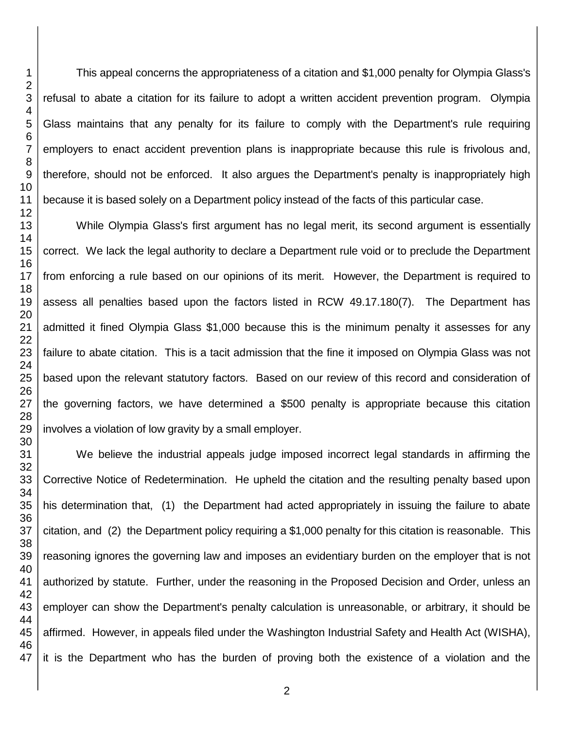This appeal concerns the appropriateness of a citation and \$1,000 penalty for Olympia Glass's refusal to abate a citation for its failure to adopt a written accident prevention program. Olympia Glass maintains that any penalty for its failure to comply with the Department's rule requiring employers to enact accident prevention plans is inappropriate because this rule is frivolous and, therefore, should not be enforced. It also argues the Department's penalty is inappropriately high because it is based solely on a Department policy instead of the facts of this particular case.

While Olympia Glass's first argument has no legal merit, its second argument is essentially correct. We lack the legal authority to declare a Department rule void or to preclude the Department from enforcing a rule based on our opinions of its merit. However, the Department is required to assess all penalties based upon the factors listed in RCW 49.17.180(7). The Department has admitted it fined Olympia Glass \$1,000 because this is the minimum penalty it assesses for any failure to abate citation. This is a tacit admission that the fine it imposed on Olympia Glass was not based upon the relevant statutory factors. Based on our review of this record and consideration of the governing factors, we have determined a \$500 penalty is appropriate because this citation involves a violation of low gravity by a small employer.

 We believe the industrial appeals judge imposed incorrect legal standards in affirming the Corrective Notice of Redetermination. He upheld the citation and the resulting penalty based upon his determination that, (1) the Department had acted appropriately in issuing the failure to abate citation, and (2) the Department policy requiring a \$1,000 penalty for this citation is reasonable. This reasoning ignores the governing law and imposes an evidentiary burden on the employer that is not authorized by statute. Further, under the reasoning in the Proposed Decision and Order, unless an employer can show the Department's penalty calculation is unreasonable, or arbitrary, it should be affirmed. However, in appeals filed under the Washington Industrial Safety and Health Act (WISHA), it is the Department who has the burden of proving both the existence of a violation and the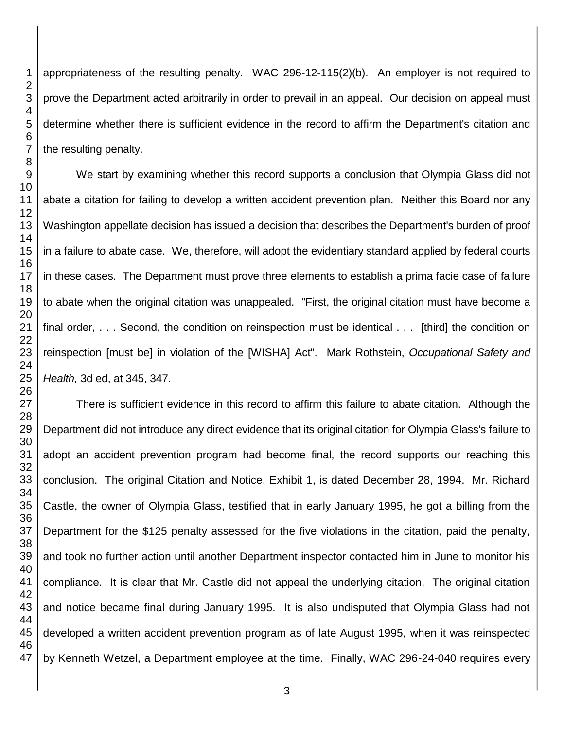appropriateness of the resulting penalty. WAC 296-12-115(2)(b). An employer is not required to prove the Department acted arbitrarily in order to prevail in an appeal. Our decision on appeal must determine whether there is sufficient evidence in the record to affirm the Department's citation and the resulting penalty.

We start by examining whether this record supports a conclusion that Olympia Glass did not abate a citation for failing to develop a written accident prevention plan. Neither this Board nor any Washington appellate decision has issued a decision that describes the Department's burden of proof in a failure to abate case. We, therefore, will adopt the evidentiary standard applied by federal courts in these cases. The Department must prove three elements to establish a prima facie case of failure to abate when the original citation was unappealed. "First, the original citation must have become a final order, . . . Second, the condition on reinspection must be identical . . . [third] the condition on reinspection [must be] in violation of the [WISHA] Act". Mark Rothstein, *Occupational Safety and Health,* 3d ed, at 345, 347.

 There is sufficient evidence in this record to affirm this failure to abate citation. Although the Department did not introduce any direct evidence that its original citation for Olympia Glass's failure to adopt an accident prevention program had become final, the record supports our reaching this conclusion. The original Citation and Notice, Exhibit 1, is dated December 28, 1994. Mr. Richard Castle, the owner of Olympia Glass, testified that in early January 1995, he got a billing from the Department for the \$125 penalty assessed for the five violations in the citation, paid the penalty, and took no further action until another Department inspector contacted him in June to monitor his compliance. It is clear that Mr. Castle did not appeal the underlying citation. The original citation and notice became final during January 1995. It is also undisputed that Olympia Glass had not developed a written accident prevention program as of late August 1995, when it was reinspected by Kenneth Wetzel, a Department employee at the time. Finally, WAC 296-24-040 requires every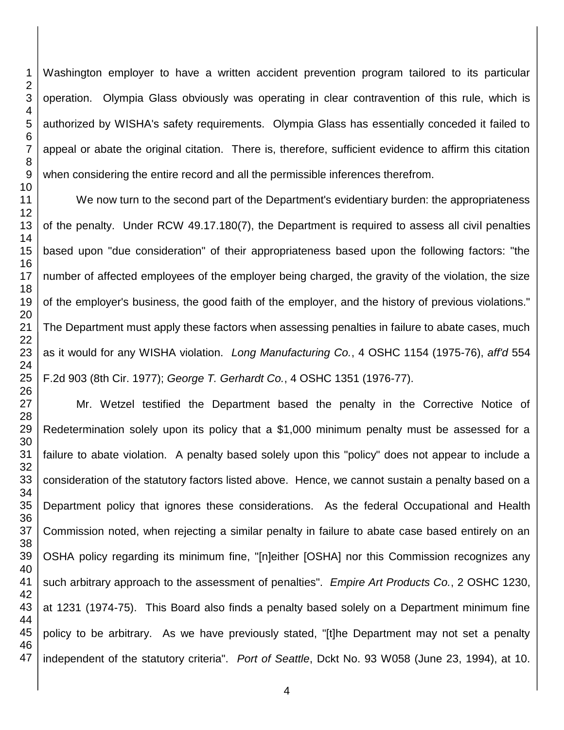Washington employer to have a written accident prevention program tailored to its particular operation. Olympia Glass obviously was operating in clear contravention of this rule, which is authorized by WISHA's safety requirements. Olympia Glass has essentially conceded it failed to appeal or abate the original citation. There is, therefore, sufficient evidence to affirm this citation when considering the entire record and all the permissible inferences therefrom.

We now turn to the second part of the Department's evidentiary burden: the appropriateness of the penalty. Under RCW 49.17.180(7), the Department is required to assess all civil penalties based upon "due consideration" of their appropriateness based upon the following factors: "the number of affected employees of the employer being charged, the gravity of the violation, the size of the employer's business, the good faith of the employer, and the history of previous violations." The Department must apply these factors when assessing penalties in failure to abate cases, much as it would for any WISHA violation. *Long Manufacturing Co.*, 4 OSHC 1154 (1975-76), *aff'd* 554 F.2d 903 (8th Cir. 1977); *George T. Gerhardt Co.*, 4 OSHC 1351 (1976-77).

Mr. Wetzel testified the Department based the penalty in the Corrective Notice of Redetermination solely upon its policy that a \$1,000 minimum penalty must be assessed for a failure to abate violation. A penalty based solely upon this "policy" does not appear to include a consideration of the statutory factors listed above. Hence, we cannot sustain a penalty based on a Department policy that ignores these considerations. As the federal Occupational and Health Commission noted, when rejecting a similar penalty in failure to abate case based entirely on an OSHA policy regarding its minimum fine, "[n]either [OSHA] nor this Commission recognizes any such arbitrary approach to the assessment of penalties". *Empire Art Products Co.*, 2 OSHC 1230, at 1231 (1974-75). This Board also finds a penalty based solely on a Department minimum fine policy to be arbitrary. As we have previously stated, "[t]he Department may not set a penalty independent of the statutory criteria". *Port of Seattle*, Dckt No. 93 W058 (June 23, 1994), at 10.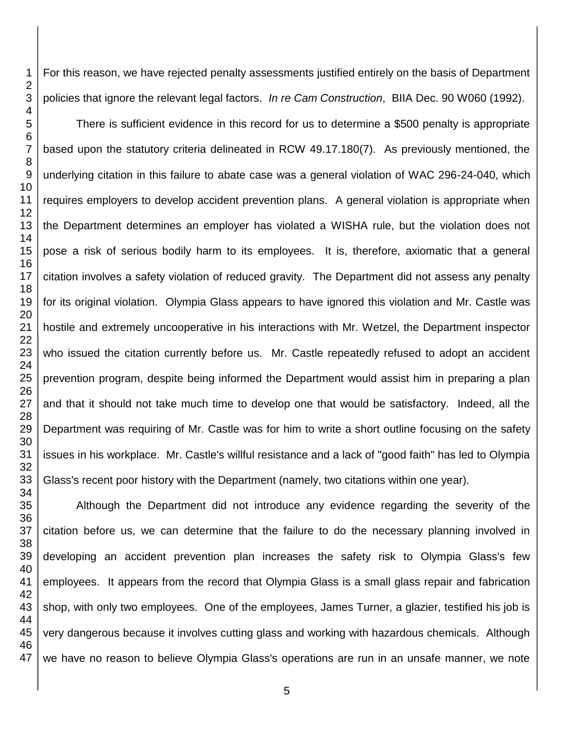For this reason, we have rejected penalty assessments justified entirely on the basis of Department policies that ignore the relevant legal factors. *In re Cam Construction*, BIIA Dec. 90 W060 (1992).

There is sufficient evidence in this record for us to determine a \$500 penalty is appropriate based upon the statutory criteria delineated in RCW 49.17.180(7). As previously mentioned, the underlying citation in this failure to abate case was a general violation of WAC 296-24-040, which requires employers to develop accident prevention plans. A general violation is appropriate when the Department determines an employer has violated a WISHA rule, but the violation does not pose a risk of serious bodily harm to its employees. It is, therefore, axiomatic that a general citation involves a safety violation of reduced gravity. The Department did not assess any penalty for its original violation. Olympia Glass appears to have ignored this violation and Mr. Castle was hostile and extremely uncooperative in his interactions with Mr. Wetzel, the Department inspector who issued the citation currently before us. Mr. Castle repeatedly refused to adopt an accident prevention program, despite being informed the Department would assist him in preparing a plan and that it should not take much time to develop one that would be satisfactory. Indeed, all the Department was requiring of Mr. Castle was for him to write a short outline focusing on the safety issues in his workplace. Mr. Castle's willful resistance and a lack of "good faith" has led to Olympia Glass's recent poor history with the Department (namely, two citations within one year).

Although the Department did not introduce any evidence regarding the severity of the citation before us, we can determine that the failure to do the necessary planning involved in developing an accident prevention plan increases the safety risk to Olympia Glass's few employees. It appears from the record that Olympia Glass is a small glass repair and fabrication shop, with only two employees. One of the employees, James Turner, a glazier, testified his job is very dangerous because it involves cutting glass and working with hazardous chemicals. Although we have no reason to believe Olympia Glass's operations are run in an unsafe manner, we note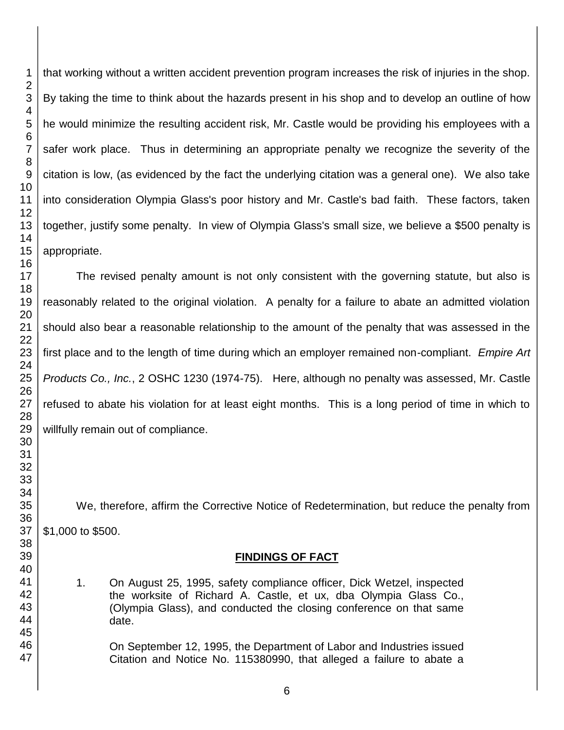that working without a written accident prevention program increases the risk of injuries in the shop. By taking the time to think about the hazards present in his shop and to develop an outline of how he would minimize the resulting accident risk, Mr. Castle would be providing his employees with a safer work place. Thus in determining an appropriate penalty we recognize the severity of the citation is low, (as evidenced by the fact the underlying citation was a general one). We also take into consideration Olympia Glass's poor history and Mr. Castle's bad faith. These factors, taken together, justify some penalty. In view of Olympia Glass's small size, we believe a \$500 penalty is appropriate.

The revised penalty amount is not only consistent with the governing statute, but also is reasonably related to the original violation. A penalty for a failure to abate an admitted violation should also bear a reasonable relationship to the amount of the penalty that was assessed in the first place and to the length of time during which an employer remained non-compliant. *Empire Art Products Co., Inc.*, 2 OSHC 1230 (1974-75). Here, although no penalty was assessed, Mr. Castle refused to abate his violation for at least eight months. This is a long period of time in which to willfully remain out of compliance.

We, therefore, affirm the Corrective Notice of Redetermination, but reduce the penalty from \$1,000 to \$500.

### **FINDINGS OF FACT**

1. On August 25, 1995, safety compliance officer, Dick Wetzel, inspected the worksite of Richard A. Castle, et ux, dba Olympia Glass Co., (Olympia Glass), and conducted the closing conference on that same date.

On September 12, 1995, the Department of Labor and Industries issued Citation and Notice No. 115380990, that alleged a failure to abate a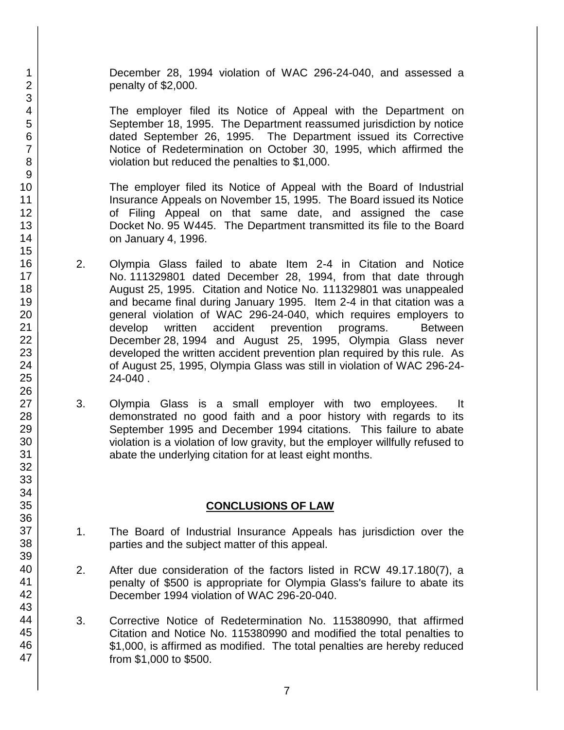December 28, 1994 violation of WAC 296-24-040, and assessed a penalty of \$2,000.

The employer filed its Notice of Appeal with the Department on September 18, 1995. The Department reassumed jurisdiction by notice dated September 26, 1995. The Department issued its Corrective Notice of Redetermination on October 30, 1995, which affirmed the violation but reduced the penalties to \$1,000.

The employer filed its Notice of Appeal with the Board of Industrial Insurance Appeals on November 15, 1995. The Board issued its Notice of Filing Appeal on that same date, and assigned the case Docket No. 95 W445. The Department transmitted its file to the Board on January 4, 1996.

- 2. Olympia Glass failed to abate Item 2-4 in Citation and Notice No. 111329801 dated December 28, 1994, from that date through August 25, 1995. Citation and Notice No. 111329801 was unappealed and became final during January 1995. Item 2-4 in that citation was a general violation of WAC 296-24-040, which requires employers to develop written accident prevention programs. Between December 28, 1994 and August 25, 1995, Olympia Glass never developed the written accident prevention plan required by this rule. As of August 25, 1995, Olympia Glass was still in violation of WAC 296-24- 24-040 .
- 3. Olympia Glass is a small employer with two employees. It demonstrated no good faith and a poor history with regards to its September 1995 and December 1994 citations. This failure to abate violation is a violation of low gravity, but the employer willfully refused to abate the underlying citation for at least eight months.

## **CONCLUSIONS OF LAW**

- 1. The Board of Industrial Insurance Appeals has jurisdiction over the parties and the subject matter of this appeal.
- 2. After due consideration of the factors listed in RCW 49.17.180(7), a penalty of \$500 is appropriate for Olympia Glass's failure to abate its December 1994 violation of WAC 296-20-040.
- 3. Corrective Notice of Redetermination No. 115380990, that affirmed Citation and Notice No. 115380990 and modified the total penalties to \$1,000, is affirmed as modified. The total penalties are hereby reduced from \$1,000 to \$500.